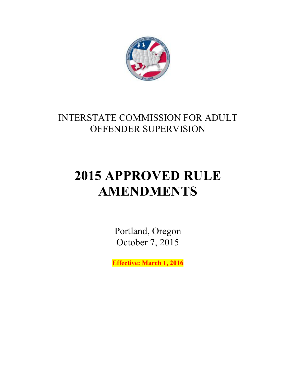

## INTERSTATE COMMISSION FOR ADULT OFFENDER SUPERVISION

# **2015 APPROVED RULE AMENDMENTS**

Portland, Oregon October 7, 2015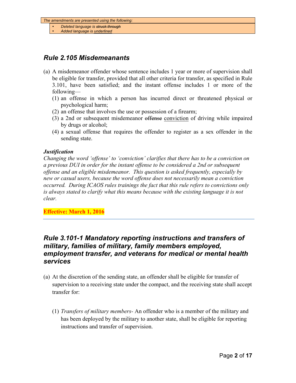- *Deleted language is struck through*
- *Added language is underlined*

## *Rule 2.105 Misdemeanants*

- (a) A misdemeanor offender whose sentence includes 1 year or more of supervision shall be eligible for transfer, provided that all other criteria for transfer, as specified in Rule 3.101, have been satisfied; and the instant offense includes 1 or more of the following—
	- (1) an offense in which a person has incurred direct or threatened physical or psychological harm;
	- (2) an offense that involves the use or possession of a firearm;
	- (3) a 2nd or subsequent misdemeanor offense conviction of driving while impaired by drugs or alcohol;
	- (4) a sexual offense that requires the offender to register as a sex offender in the sending state.

#### *Justification*

*Changing the word 'offense' to 'conviction' clarifies that there has to be a conviction on a previous DUI in order for the instant offense to be considered a 2nd or subsequent offense and an eligible misdemeanor. This question is asked frequently, especially by new or casual users, because the word offense does not necessarily mean a conviction occurred. During ICAOS rules trainings the fact that this rule refers to convictions only is always stated to clarify what this means because with the existing language it is not clear.*

#### **Effective: March 1, 2016**

## *Rule 3.101-1 Mandatory reporting instructions and transfers of military, families of military, family members employed, employment transfer, and veterans for medical or mental health services*

- (a) At the discretion of the sending state, an offender shall be eligible for transfer of supervision to a receiving state under the compact, and the receiving state shall accept transfer for:
	- (1) *Transfers of military members-* An offender who is a member of the military and has been deployed by the military to another state, shall be eligible for reporting instructions and transfer of supervision.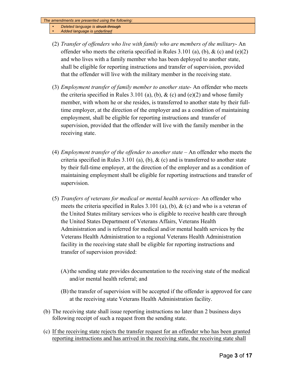- *Deleted language is struck through*
- *Added language is underlined*
- (2) *Transfer of offenders who live with family who are members of the military* An offender who meets the criteria specified in Rules 3.101 (a), (b),  $\&$  (c) and (e)(2) and who lives with a family member who has been deployed to another state, shall be eligible for reporting instructions and transfer of supervision, provided that the offender will live with the military member in the receiving state.
- (3) *Employment transfer of family member to another state-* An offender who meets the criteria specified in Rules 3.101 (a), (b),  $\&$  (c) and (e)(2) and whose family member, with whom he or she resides, is transferred to another state by their fulltime employer, at the direction of the employer and as a condition of maintaining employment, shall be eligible for reporting instructions and transfer of supervision, provided that the offender will live with the family member in the receiving state.
- (4) *Employment transfer of the offender to another state* An offender who meets the criteria specified in Rules 3.101 (a), (b),  $\&$  (c) and is transferred to another state by their full-time employer, at the direction of the employer and as a condition of maintaining employment shall be eligible for reporting instructions and transfer of supervision.
- (5) *Transfers of veterans for medical or mental health services-* An offender who meets the criteria specified in Rules 3.101 (a), (b),  $\&$  (c) and who is a veteran of the United States military services who is eligible to receive health care through the United States Department of Veterans Affairs, Veterans Health Administration and is referred for medical and/or mental health services by the Veterans Health Administration to a regional Veterans Health Administration facility in the receiving state shall be eligible for reporting instructions and transfer of supervision provided:
	- (A)the sending state provides documentation to the receiving state of the medical and/or mental health referral; and
	- (B) the transfer of supervision will be accepted if the offender is approved for care at the receiving state Veterans Health Administration facility.
- (b) The receiving state shall issue reporting instructions no later than 2 business days following receipt of such a request from the sending state.
- (c) If the receiving state rejects the transfer request for an offender who has been granted reporting instructions and has arrived in the receiving state, the receiving state shall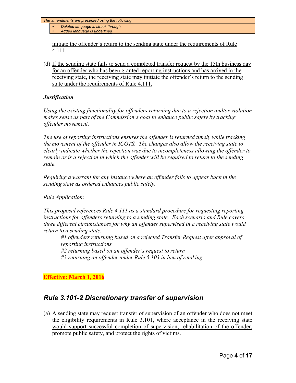- *Deleted language is struck through*
- *Added language is underlined*

initiate the offender's return to the sending state under the requirements of Rule 4.111.

(d) If the sending state fails to send a completed transfer request by the 15th business day for an offender who has been granted reporting instructions and has arrived in the receiving state, the receiving state may initiate the offender's return to the sending state under the requirements of Rule 4.111.

#### *Justification*

*Using the existing functionality for offenders returning due to a rejection and/or violation makes sense as part of the Commission's goal to enhance public safety by tracking offender movement.* 

*The use of reporting instructions ensures the offender is returned timely while tracking the movement of the offender in ICOTS. The changes also allow the receiving state to clearly indicate whether the rejection was due to incompleteness allowing the offender to remain or is a rejection in which the offender will be required to return to the sending state.*

*Requiring a warrant for any instance where an offender fails to appear back in the sending state as ordered enhances public safety.*

#### *Rule Application:*

*This proposal references Rule 4.111 as a standard procedure for requesting reporting instructions for offenders returning to a sending state. Each scenario and Rule covers three different circumstances for why an offender supervised in a receiving state would return to a sending state.* 

*#1 offenders returning based on a rejected Transfer Request after approval of reporting instructions #2 returning based on an offender's request to return #3 returning an offender under Rule 5.103 in lieu of retaking* 

#### **Effective: March 1, 2016**

## *Rule 3.101-2 Discretionary transfer of supervision*

(a) A sending state may request transfer of supervision of an offender who does not meet the eligibility requirements in Rule 3.101, where acceptance in the receiving state would support successful completion of supervision, rehabilitation of the offender, promote public safety, and protect the rights of victims.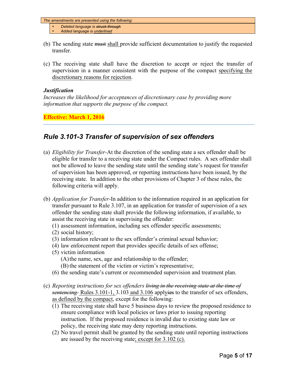- *Deleted language is struck through*
- *Added language is underlined*
- (b) The sending state must shall provide sufficient documentation to justify the requested transfer.
- (c) The receiving state shall have the discretion to accept or reject the transfer of supervision in a manner consistent with the purpose of the compact specifying the discretionary reasons for rejection.

#### *Justification*

*Increases the likelihood for acceptances of discretionary case by providing more information that supports the purpose of the compact.* 

**Effective: March 1, 2016**

## *Rule 3.101-3 Transfer of supervision of sex offenders*

- (a) *Eligibility for Transfer-*At the discretion of the sending state a sex offender shall be eligible for transfer to a receiving state under the Compact rules. A sex offender shall not be allowed to leave the sending state until the sending state's request for transfer of supervision has been approved, or reporting instructions have been issued, by the receiving state. In addition to the other provisions of Chapter 3 of these rules, the following criteria will apply.
- (b) *Application for Transfer-*In addition to the information required in an application for transfer pursuant to Rule 3.107, in an application for transfer of supervision of a sex offender the sending state shall provide the following information, if available, to assist the receiving state in supervising the offender:
	- (1) assessment information, including sex offender specific assessments;
	- (2) social history;
	- (3) information relevant to the sex offender's criminal sexual behavior;
	- (4) law enforcement report that provides specific details of sex offense;
	- (5) victim information

(A)the name, sex, age and relationship to the offender;

- (B) the statement of the victim or victim's representative;
- (6) the sending state's current or recommended supervision and treatment plan.
- (c) *Reporting instructions for sex offenders living in the receiving state at the time of sentencing-* Rules 3.101-1, 3.103 and 3.106 applyies to the transfer of sex offenders, as defined by the compact, except for the following:
	- (1) The receiving state shall have 5 business days to review the proposed residence to ensure compliance with local policies or laws prior to issuing reporting instruction. If the proposed residence is invalid due to existing state law or policy, the receiving state may deny reporting instructions.
	- (2) No travel permit shall be granted by the sending state until reporting instructions are issued by the receiving state; except for 3.102 (c).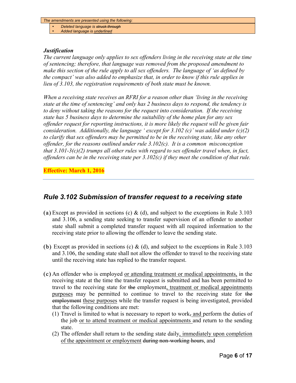- *Deleted language is struck through*
- *Added language is underlined*

#### *Justification*

*The current language only applies to sex offenders living in the receiving state at the time of sentencing; therefore, that language was removed from the proposed amendment to make this section of the rule apply to all sex offenders. The language of 'as defined by the compact' was also added to emphasize that, in order to know if this rule applies in lieu of 3.103, the registration requirements of both state must be known.*

*When a receiving state receives an RFRI for a reason other than 'living in the receiving state at the time of sentencing' and only has 2 business days to respond, the tendency is to deny without taking the reasons for the request into consideration. If the receiving state has 5 business days to determine the suitability of the home plan for any sex offender request for reporting instructions, it is more likely the request will be given fair consideration. Additionally, the language ' except for 3.102 (c)' was added under (c)(2) to clarify that sex offenders may be permitted to be in the receiving state, like any other offender, for the reasons outlined under rule 3.102(c). It is a common misconception that 3.101-3(c)(2) trumps all other rules with regard to sex offender travel when, in fact, offenders can be in the receiving state per 3.102(c) if they meet the condition of that rule.*

**Effective: March 1, 2016**

## *Rule 3.102 Submission of transfer request to a receiving state*

- (a) Except as provided in sections (c) & (d), and subject to the exceptions in Rule 3.103 and 3.106, a sending state seeking to transfer supervision of an offender to another state shall submit a completed transfer request with all required information to the receiving state prior to allowing the offender to leave the sending state.
- (b) Except as provided in sections (c)  $\&$  (d), and subject to the exceptions in Rule 3.103 and 3.106, the sending state shall not allow the offender to travel to the receiving state until the receiving state has replied to the transfer request.
- (c) An offender who is employed or attending treatment or medical appointments, in the receiving state at the time the transfer request is submitted and has been permitted to travel to the receiving state for the employment, treatment or medical appointments purposes may be permitted to continue to travel to the receiving state for the employment these purposes while the transfer request is being investigated, provided that the following conditions are met:
	- (1) Travel is limited to what is necessary to report to work, and perform the duties of the job or to attend treatment or medical appointments and return to the sending state.
	- (2) The offender shall return to the sending state daily, immediately upon completion of the appointment or employment during non-working hours, and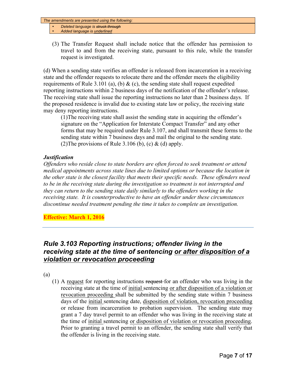• *Deleted language is struck through*

- *Added language is underlined*
- (3) The Transfer Request shall include notice that the offender has permission to travel to and from the receiving state, pursuant to this rule, while the transfer request is investigated.

(d) When a sending state verifies an offender is released from incarceration in a receiving state and the offender requests to relocate there and the offender meets the eligibility requirements of Rule 3.101 (a), (b)  $\&$  (c), the sending state shall request expedited reporting instructions within 2 business days of the notification of the offender's release. The receiving state shall issue the reporting instructions no later than 2 business days. If the proposed residence is invalid due to existing state law or policy, the receiving state may deny reporting instructions.

(1)The receiving state shall assist the sending state in acquiring the offender's signature on the "Application for Interstate Compact Transfer" and any other forms that may be required under Rule 3.107, and shall transmit these forms to the sending state within 7 business days and mail the original to the sending state. (2) The provisions of Rule 3.106 (b), (c)  $\&$  (d) apply.

#### *Justification*

*Offenders who reside close to state borders are often forced to seek treatment or attend medical appointments across state lines due to limited options or because the location in the other state is the closest facility that meets their specific needs. These offenders need to be in the receiving state during the investigation so treatment is not interrupted and they can return to the sending state daily similarly to the offenders working in the receiving state. It is counterproductive to have an offender under these circumstances discontinue needed treatment pending the time it takes to complete an investigation.*

**Effective: March 1, 2016**

## *Rule 3.103 Reporting instructions; offender living in the receiving state at the time of sentencing or after disposition of a violation or revocation proceeding*

(a)

(1) A request for reporting instructions request for an offender who was living in the receiving state at the time of initial sentencing or after disposition of a violation or revocation proceeding shall be submitted by the sending state within 7 business days of the initial sentencing date, disposition of violation, revocation proceeding or release from incarceration to probation supervision. The sending state may grant a 7 day travel permit to an offender who was living in the receiving state at the time of initial sentencing or disposition of violation or revocation proceeding. Prior to granting a travel permit to an offender, the sending state shall verify that the offender is living in the receiving state.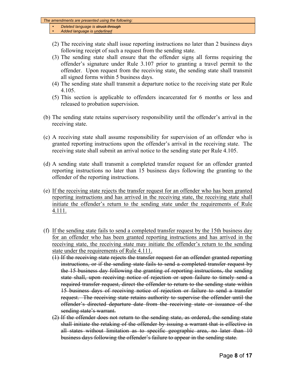- *Deleted language is struck through*
- *Added language is underlined*
- (2) The receiving state shall issue reporting instructions no later than 2 business days following receipt of such a request from the sending state.
- (3) The sending state shall ensure that the offender signs all forms requiring the offender's signature under Rule 3.107 prior to granting a travel permit to the offender. Upon request from the receiving state, the sending state shall transmit all signed forms within 5 business days.
- (4) The sending state shall transmit a departure notice to the receiving state per Rule 4.105.
- (5) This section is applicable to offenders incarcerated for 6 months or less and released to probation supervision.
- (b) The sending state retains supervisory responsibility until the offender's arrival in the receiving state.
- (c) A receiving state shall assume responsibility for supervision of an offender who is granted reporting instructions upon the offender's arrival in the receiving state. The receiving state shall submit an arrival notice to the sending state per Rule 4.105.
- (d) A sending state shall transmit a completed transfer request for an offender granted reporting instructions no later than 15 business days following the granting to the offender of the reporting instructions.
- (e) If the receiving state rejects the transfer request for an offender who has been granted reporting instructions and has arrived in the receiving state, the receiving state shall initiate the offender's return to the sending state under the requirements of Rule 4.111.
- (f) If the sending state fails to send a completed transfer request by the 15th business day for an offender who has been granted reporting instructions and has arrived in the receiving state, the receiving state may initiate the offender's return to the sending state under the requirements of Rule 4.111.
	- (1) If the receiving state rejects the transfer request for an offender granted reporting instructions, or if the sending state fails to send a completed transfer request by the 15 business day following the granting of reporting instructions, the sending state shall, upon receiving notice of rejection or upon failure to timely send a required transfer request, direct the offender to return to the sending state within 15 business days of receiving notice of rejection or failure to send a transfer request. The receiving state retains authority to supervise the offender until the offender's directed departure date from the receiving state or issuance of the sending state's warrant.
	- $(2)$  If the offender does not return to the sending state, as ordered, the sending state shall initiate the retaking of the offender by issuing a warrant that is effective in all states without limitation as to specific geographic area, no later than 10 business days following the offender's failure to appear in the sending state.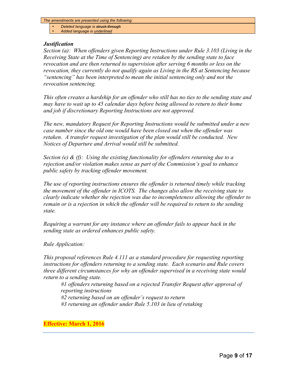- *Deleted language is struck through*
- *Added language is underlined*

#### *Justification*

*Section (a): When offenders given Reporting Instructions under Rule 3.103 (Living in the Receiving State at the Time of Sentencing) are retaken by the sending state to face revocation and are then returned to supervision after serving 6 months or less on the revocation, they currently do not qualify again as Living in the RS at Sentencing because "sentencing" has been interpreted to mean the initial sentencing only and not the revocation sentencing.* 

*This often creates a hardship for an offender who still has no ties to the sending state and may have to wait up to 45 calendar days before being allowed to return to their home and job if discretionary Reporting Instructions are not approved.* 

*The new, mandatory Request for Reporting Instructions would be submitted under a new case number since the old one would have been closed out when the offender was retaken. A transfer request investigation of the plan would still be conducted. New Notices of Departure and Arrival would still be submitted.*

*Section (e) & (f): Using the existing functionality for offenders returning due to a rejection and/or violation makes sense as part of the Commission's goal to enhance public safety by tracking offender movement.* 

*The use of reporting instructions ensures the offender is returned timely while tracking the movement of the offender in ICOTS. The changes also allow the receiving state to clearly indicate whether the rejection was due to incompleteness allowing the offender to remain or is a rejection in which the offender will be required to return to the sending state.*

*Requiring a warrant for any instance where an offender fails to appear back in the sending state as ordered enhances public safety.*

*Rule Application:*

*This proposal references Rule 4.111 as a standard procedure for requesting reporting instructions for offenders returning to a sending state. Each scenario and Rule covers three different circumstances for why an offender supervised in a receiving state would return to a sending state.* 

*#1 offenders returning based on a rejected Transfer Request after approval of reporting instructions*

*#2 returning based on an offender's request to return*

*#3 returning an offender under Rule 5.103 in lieu of retaking*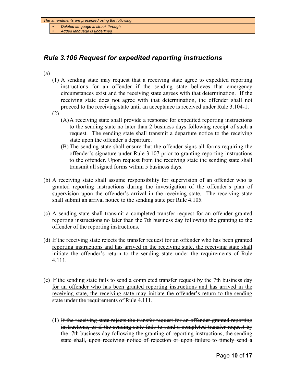- *Deleted language is struck through*
- *Added language is underlined*

## *Rule 3.106 Request for expedited reporting instructions*

(a)

- (1) A sending state may request that a receiving state agree to expedited reporting instructions for an offender if the sending state believes that emergency circumstances exist and the receiving state agrees with that determination. If the receiving state does not agree with that determination, the offender shall not proceed to the receiving state until an acceptance is received under Rule 3.104-1.
- (2)
	- (A)A receiving state shall provide a response for expedited reporting instructions to the sending state no later than 2 business days following receipt of such a request. The sending state shall transmit a departure notice to the receiving state upon the offender's departure.
	- (B) The sending state shall ensure that the offender signs all forms requiring the offender's signature under Rule 3.107 prior to granting reporting instructions to the offender. Upon request from the receiving state the sending state shall transmit all signed forms within 5 business days.
- (b) A receiving state shall assume responsibility for supervision of an offender who is granted reporting instructions during the investigation of the offender's plan of supervision upon the offender's arrival in the receiving state. The receiving state shall submit an arrival notice to the sending state per Rule 4.105.
- (c) A sending state shall transmit a completed transfer request for an offender granted reporting instructions no later than the 7th business day following the granting to the offender of the reporting instructions.
- (d) If the receiving state rejects the transfer request for an offender who has been granted reporting instructions and has arrived in the receiving state, the receiving state shall initiate the offender's return to the sending state under the requirements of Rule 4.111.
- (e) If the sending state fails to send a completed transfer request by the 7th business day for an offender who has been granted reporting instructions and has arrived in the receiving state, the receiving state may initiate the offender's return to the sending state under the requirements of Rule 4.111.
	- (1) If the receiving state rejects the transfer request for an offender granted reporting instructions, or if the sending state fails to send a completed transfer request by the 7th business day following the granting of reporting instructions, the sending state shall, upon receiving notice of rejection or upon failure to timely send a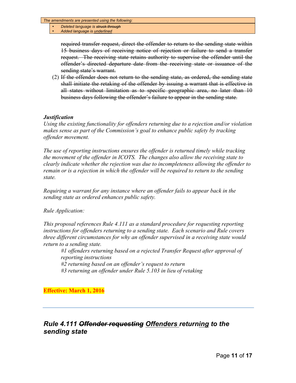• *Deleted language is struck through* • *Added language is underlined*

> required transfer request, direct the offender to return to the sending state within 15 business days of receiving notice of rejection or failure to send a transfer request. The receiving state retains authority to supervise the offender until the offender's directed departure date from the receiving state or issuance of the sending state's warrant.

 $(2)$  If the offender does not return to the sending state, as ordered, the sending state shall initiate the retaking of the offender by issuing a warrant that is effective in all states without limitation as to specific geographic area, no later than 10 business days following the offender's failure to appear in the sending state.

#### *Justification*

*Using the existing functionality for offenders returning due to a rejection and/or violation makes sense as part of the Commission's goal to enhance public safety by tracking offender movement.* 

*The use of reporting instructions ensures the offender is returned timely while tracking the movement of the offender in ICOTS. The changes also allow the receiving state to clearly indicate whether the rejection was due to incompleteness allowing the offender to remain or is a rejection in which the offender will be required to return to the sending state.*

*Requiring a warrant for any instance where an offender fails to appear back in the sending state as ordered enhances public safety.*

#### *Rule Application:*

*This proposal references Rule 4.111 as a standard procedure for requesting reporting instructions for offenders returning to a sending state. Each scenario and Rule covers three different circumstances for why an offender supervised in a receiving state would return to a sending state.* 

*#1 offenders returning based on a rejected Transfer Request after approval of reporting instructions #2 returning based on an offender's request to return*

*#3 returning an offender under Rule 5.103 in lieu of retaking* 

#### **Effective: March 1, 2016**

## *Rule 4.111 Offender requesting Offenders returning to the sending state*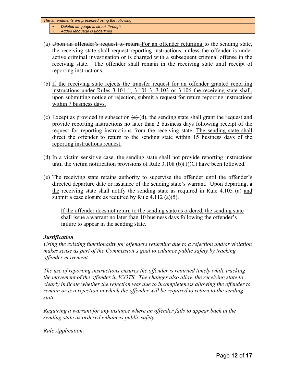- *Deleted language is struck through*
- *Added language is underlined*
- (a) Upon an offender's request to return For an offender returning to the sending state, the receiving state shall request reporting instructions, unless the offender is under active criminal investigation or is charged with a subsequent criminal offense in the receiving state. The offender shall remain in the receiving state until receipt of reporting instructions.
- (b) If the receiving state rejects the transfer request for an offender granted reporting instructions under Rules 3.101-1, 3.101-3, 3.103 or 3.106 the receiving state shall, upon submitting notice of rejection, submit a request for return reporting instructions within 7 business days.
- (c) Except as provided in subsection  $(e)$  (d), the sending state shall grant the request and provide reporting instructions no later than 2 business days following receipt of the request for reporting instructions from the receiving state. The sending state shall direct the offender to return to the sending state within 15 business days of the reporting instructions request.
- (d) In a victim sensitive case, the sending state shall not provide reporting instructions until the victim notification provisions of Rule  $3.108$  (b)(1)(C) have been followed.
- (e) The receiving state retains authority to supervise the offender until the offender's directed departure date or issuance of the sending state's warrant. Upon departing, a the receiving state shall notify the sending state as required in Rule 4.105 (a) and submit a case closure as required by Rule 4.112 (a)(5).

If the offender does not return to the sending state as ordered, the sending state shall issue a warrant no later than 10 business days following the offender's failure to appear in the sending state.

#### *Justification*

*Using the existing functionality for offenders returning due to a rejection and/or violation makes sense as part of the Commission's goal to enhance public safety by tracking offender movement.* 

*The use of reporting instructions ensures the offender is returned timely while tracking the movement of the offender in ICOTS. The changes also allow the receiving state to clearly indicate whether the rejection was due to incompleteness allowing the offender to remain or is a rejection in which the offender will be required to return to the sending state.*

*Requiring a warrant for any instance where an offender fails to appear back in the sending state as ordered enhances public safety.*

*Rule Application:*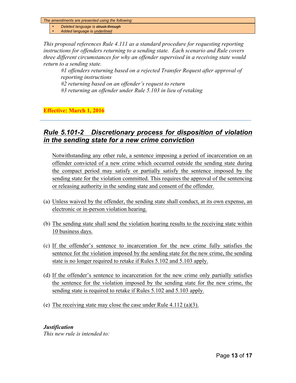- *Deleted language is struck through*
- *Added language is underlined*

*This proposal references Rule 4.111 as a standard procedure for requesting reporting instructions for offenders returning to a sending state. Each scenario and Rule covers three different circumstances for why an offender supervised in a receiving state would return to a sending state.* 

*#1 offenders returning based on a rejected Transfer Request after approval of reporting instructions*

*#2 returning based on an offender's request to return*

*#3 returning an offender under Rule 5.103 in lieu of retaking* 

**Effective: March 1, 2016**

## *Rule 5.101-2 Discretionary process for disposition of violation in the sending state for a new crime conviction*

Notwithstanding any other rule, a sentence imposing a period of incarceration on an offender convicted of a new crime which occurred outside the sending state during the compact period may satisfy or partially satisfy the sentence imposed by the sending state for the violation committed. This requires the approval of the sentencing or releasing authority in the sending state and consent of the offender.

- (a) Unless waived by the offender, the sending state shall conduct, at its own expense, an electronic or in-person violation hearing.
- (b) The sending state shall send the violation hearing results to the receiving state within 10 business days.
- (c) If the offender's sentence to incarceration for the new crime fully satisfies the sentence for the violation imposed by the sending state for the new crime, the sending state is no longer required to retake if Rules 5.102 and 5.103 apply.
- (d) If the offender's sentence to incarceration for the new crime only partially satisfies the sentence for the violation imposed by the sending state for the new crime, the sending state is required to retake if Rules 5.102 and 5.103 apply.
- (e) The receiving state may close the case under Rule 4.112 (a)(3).

#### *Justification*

*This new rule is intended to:*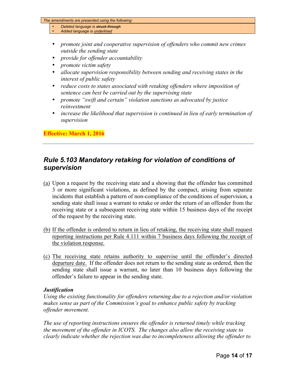- *Deleted language is struck through*
- *Added language is underlined*
- *promote joint and cooperative supervision of offenders who commit new crimes outside the sending state*
- *provide for offender accountability*
- *promote victim safety*
- *allocate supervision responsibility between sending and receiving states in the interest of public safety*
- *reduce costs to states associated with retaking offenders where imposition of sentence can best be carried out by the supervising state*
- *promote "swift and certain" violation sanctions as advocated by justice reinvestment*
- *increase the likelihood that supervision is continued in lieu of early termination of supervision*

#### **Effective: March 1, 2016**

## *Rule 5.103 Mandatory retaking for violation of conditions of supervision*

- (a) Upon a request by the receiving state and a showing that the offender has committed 3 or more significant violations, as defined by the compact, arising from separate incidents that establish a pattern of non-compliance of the conditions of supervision, a sending state shall issue a warrant to retake or order the return of an offender from the receiving state or a subsequent receiving state within 15 business days of the receipt of the request by the receiving state.
- (b) If the offender is ordered to return in lieu of retaking, the receiving state shall request reporting instructions per Rule 4.111 within 7 business days following the receipt of the violation response.
- (c) The receiving state retains authority to supervise until the offender's directed departure date. If the offender does not return to the sending state as ordered, then the sending state shall issue a warrant, no later than 10 business days following the offender's failure to appear in the sending state.

#### *Justification*

*Using the existing functionality for offenders returning due to a rejection and/or violation makes sense as part of the Commission's goal to enhance public safety by tracking offender movement.* 

*The use of reporting instructions ensures the offender is returned timely while tracking the movement of the offender in ICOTS. The changes also allow the receiving state to clearly indicate whether the rejection was due to incompleteness allowing the offender to*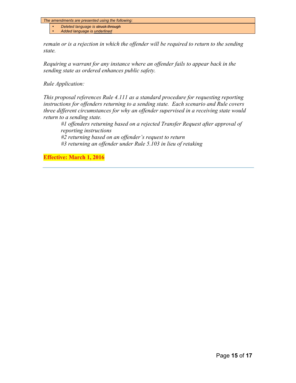• *Deleted language is struck through*

• *Added language is underlined*

*remain or is a rejection in which the offender will be required to return to the sending state.*

*Requiring a warrant for any instance where an offender fails to appear back in the sending state as ordered enhances public safety.*

*Rule Application:*

*This proposal references Rule 4.111 as a standard procedure for requesting reporting instructions for offenders returning to a sending state. Each scenario and Rule covers three different circumstances for why an offender supervised in a receiving state would return to a sending state.* 

*#1 offenders returning based on a rejected Transfer Request after approval of reporting instructions*

*#2 returning based on an offender's request to return #3 returning an offender under Rule 5.103 in lieu of retaking*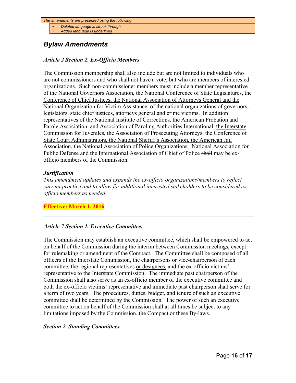- *Deleted language is struck through*
- *Added language is underlined*

## *Bylaw Amendments*

#### *Article 2 Section 2. Ex-Officio Members*

The Commission membership shall also include but are not limited to individuals who are not commissioners and who shall not have a vote, but who are members of interested organizations. Such non-commissioner members must include a member representative of the National Governors Association, the National Conference of State Legislatures, the Conference of Chief Justices, the National Association of Attorneys General and the National Organization for Victim Assistance. of the national organizations of governors, legislators, state chief justices, attorneys general and crime victims. In addition representatives of the National Institute of Corrections, the American Probation and Parole Association, and Association of Paroling Authorities International, the Interstate Commission for Juveniles, the Association of Prosecuting Attorneys, the Conference of State Court Administrators, the National Sheriff's Association, the American Jail Association, the National Association of Police Organizations, National Association for Public Defense and the International Association of Chief of Police shall may be exofficio members of the Commission.

#### *Justification*

*This amendment updates and expands the ex-officio organizations/members to reflect current practice and to allow for additional interested stakeholders to be considered exofficio members as needed.*

#### **Effective: March 1, 2016**

#### *Article 7 Section 1. Executive Committee.*

The Commission may establish an executive committee, which shall be empowered to act on behalf of the Commission during the interim between Commission meetings, except for rulemaking or amendment of the Compact. The Committee shall be composed of all officers of the Interstate Commission, the chairpersons or vice-chairperson of each committee, the regional representatives or designees, and the ex-officio victims' representative to the Interstate Commission. The immediate past chairperson of the Commission shall also serve as an ex-officio member of the executive committee and both the ex-officio victims' representative and immediate past chairperson shall serve for a term of two years. The procedures, duties, budget, and tenure of such an executive committee shall be determined by the Commission. The power of such an executive committee to act on behalf of the Commission shall at all times be subject to any limitations imposed by the Commission, the Compact or these By-laws.

#### *Section 2. Standing Committees.*